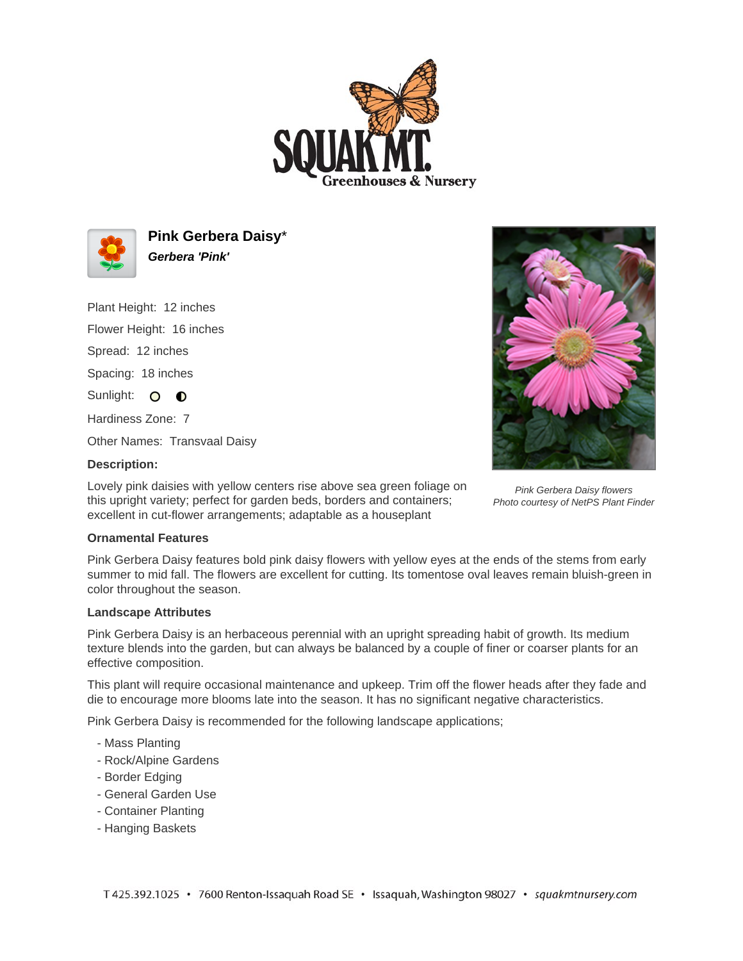



**Pink Gerbera Daisy**\* **Gerbera 'Pink'**

Plant Height: 12 inches

Flower Height: 16 inches

Spread: 12 inches

Spacing: 18 inches

Sunlight: O O

Hardiness Zone: 7

Other Names: Transvaal Daisy

## **Description:**

Lovely pink daisies with yellow centers rise above sea green foliage on this upright variety; perfect for garden beds, borders and containers; excellent in cut-flower arrangements; adaptable as a houseplant



Pink Gerbera Daisy flowers Photo courtesy of NetPS Plant Finder

## **Ornamental Features**

Pink Gerbera Daisy features bold pink daisy flowers with yellow eyes at the ends of the stems from early summer to mid fall. The flowers are excellent for cutting. Its tomentose oval leaves remain bluish-green in color throughout the season.

## **Landscape Attributes**

Pink Gerbera Daisy is an herbaceous perennial with an upright spreading habit of growth. Its medium texture blends into the garden, but can always be balanced by a couple of finer or coarser plants for an effective composition.

This plant will require occasional maintenance and upkeep. Trim off the flower heads after they fade and die to encourage more blooms late into the season. It has no significant negative characteristics.

Pink Gerbera Daisy is recommended for the following landscape applications;

- Mass Planting
- Rock/Alpine Gardens
- Border Edging
- General Garden Use
- Container Planting
- Hanging Baskets